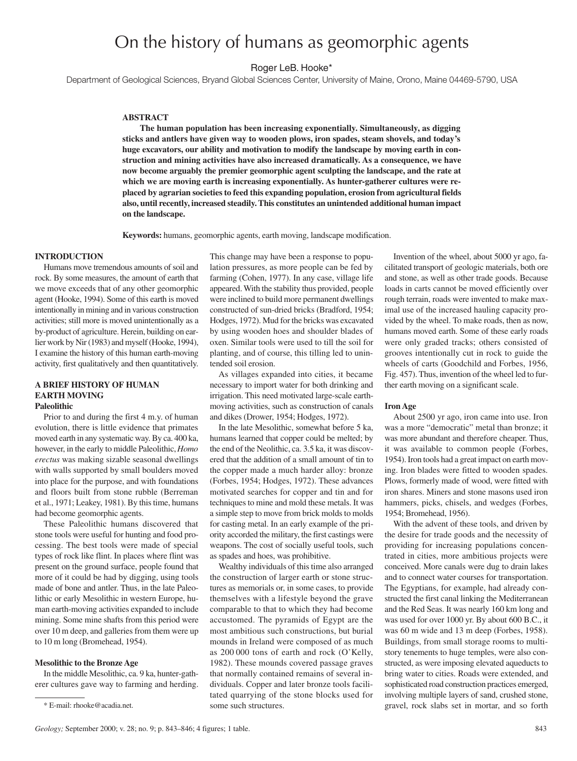# On the history of humans as geomorphic agents

Roger LeB. Hooke\*

Department of Geological Sciences, Bryand Global Sciences Center, University of Maine, Orono, Maine 04469-5790, USA

## **ABSTRACT**

**The human population has been increasing exponentially. Simultaneously, as digging sticks and antlers have given way to wooden plows, iron spades, steam shovels, and today's huge excavators, our ability and motivation to modify the landscape by moving earth in construction and mining activities have also increased dramatically. As a consequence, we have now become arguably the premier geomorphic agent sculpting the landscape, and the rate at which we are moving earth is increasing exponentially. As hunter-gatherer cultures were replaced by agrarian societies to feed this expanding population, erosion from agricultural fields also, until recently, increased steadily. This constitutes an unintended additional human impact on the landscape.** 

**Keywords:** humans, geomorphic agents, earth moving, landscape modification.

## **INTRODUCTION**

Humans move tremendous amounts of soil and rock. By some measures, the amount of earth that we move exceeds that of any other geomorphic agent (Hooke, 1994). Some of this earth is moved intentionally in mining and in various construction activities; still more is moved unintentionally as a by-product of agriculture. Herein, building on earlier work by Nir (1983) and myself (Hooke, 1994), I examine the history of this human earth-moving activity, first qualitatively and then quantitatively.

## **A BRIEF HISTORY OF HUMAN EARTH MOVING Paleolithic**

Prior to and during the first 4 m.y. of human evolution, there is little evidence that primates moved earth in any systematic way. By ca. 400 ka, however, in the early to middle Paleolithic,*Homo erectus* was making sizable seasonal dwellings with walls supported by small boulders moved into place for the purpose, and with foundations and floors built from stone rubble (Berreman et al., 1971; Leakey, 1981). By this time, humans had become geomorphic agents.

These Paleolithic humans discovered that stone tools were useful for hunting and food processing. The best tools were made of special types of rock like flint. In places where flint was present on the ground surface, people found that more of it could be had by digging, using tools made of bone and antler. Thus, in the late Paleolithic or early Mesolithic in western Europe, human earth-moving activities expanded to include mining. Some mine shafts from this period were over 10 m deep, and galleries from them were up to 10 m long (Bromehead, 1954).

## **Mesolithic to the Bronze Age**

In the middle Mesolithic, ca. 9 ka, hunter-gatherer cultures gave way to farming and herding.

This change may have been a response to population pressures, as more people can be fed by farming (Cohen, 1977). In any case, village life appeared. With the stability thus provided, people were inclined to build more permanent dwellings constructed of sun-dried bricks (Bradford, 1954; Hodges, 1972). Mud for the bricks was excavated by using wooden hoes and shoulder blades of oxen. Similar tools were used to till the soil for planting, and of course, this tilling led to unintended soil erosion.

As villages expanded into cities, it became necessary to import water for both drinking and irrigation. This need motivated large-scale earthmoving activities, such as construction of canals and dikes (Drower, 1954; Hodges, 1972).

In the late Mesolithic, somewhat before 5 ka, humans learned that copper could be melted; by the end of the Neolithic, ca. 3.5 ka, it was discovered that the addition of a small amount of tin to the copper made a much harder alloy: bronze (Forbes, 1954; Hodges, 1972). These advances motivated searches for copper and tin and for techniques to mine and mold these metals. It was a simple step to move from brick molds to molds for casting metal. In an early example of the priority accorded the military, the first castings were weapons. The cost of socially useful tools, such as spades and hoes, was prohibitive.

Wealthy individuals of this time also arranged the construction of larger earth or stone structures as memorials or, in some cases, to provide themselves with a lifestyle beyond the grave comparable to that to which they had become accustomed. The pyramids of Egypt are the most ambitious such constructions, but burial mounds in Ireland were composed of as much as 200 000 tons of earth and rock (O'Kelly, 1982). These mounds covered passage graves that normally contained remains of several individuals. Copper and later bronze tools facilitated quarrying of the stone blocks used for some such structures.

Invention of the wheel, about 5000 yr ago, facilitated transport of geologic materials, both ore and stone, as well as other trade goods. Because loads in carts cannot be moved efficiently over rough terrain, roads were invented to make maximal use of the increased hauling capacity provided by the wheel. To make roads, then as now, humans moved earth. Some of these early roads were only graded tracks; others consisted of grooves intentionally cut in rock to guide the wheels of carts (Goodchild and Forbes, 1956, Fig. 457). Thus, invention of the wheel led to further earth moving on a significant scale.

#### **Iron Age**

About 2500 yr ago, iron came into use. Iron was a more "democratic" metal than bronze; it was more abundant and therefore cheaper. Thus, it was available to common people (Forbes, 1954). Iron tools had a great impact on earth moving. Iron blades were fitted to wooden spades. Plows, formerly made of wood, were fitted with iron shares. Miners and stone masons used iron hammers, picks, chisels, and wedges (Forbes, 1954; Bromehead, 1956).

With the advent of these tools, and driven by the desire for trade goods and the necessity of providing for increasing populations concentrated in cities, more ambitious projects were conceived. More canals were dug to drain lakes and to connect water courses for transportation. The Egyptians, for example, had already constructed the first canal linking the Mediterranean and the Red Seas. It was nearly 160 km long and was used for over 1000 yr. By about 600 B.C., it was 60 m wide and 13 m deep (Forbes, 1958). Buildings, from small storage rooms to multistory tenements to huge temples, were also constructed, as were imposing elevated aqueducts to bring water to cities. Roads were extended, and sophisticated road construction practices emerged, involving multiple layers of sand, crushed stone, gravel, rock slabs set in mortar, and so forth

<sup>\*</sup> E-mail: rhooke@acadia.net.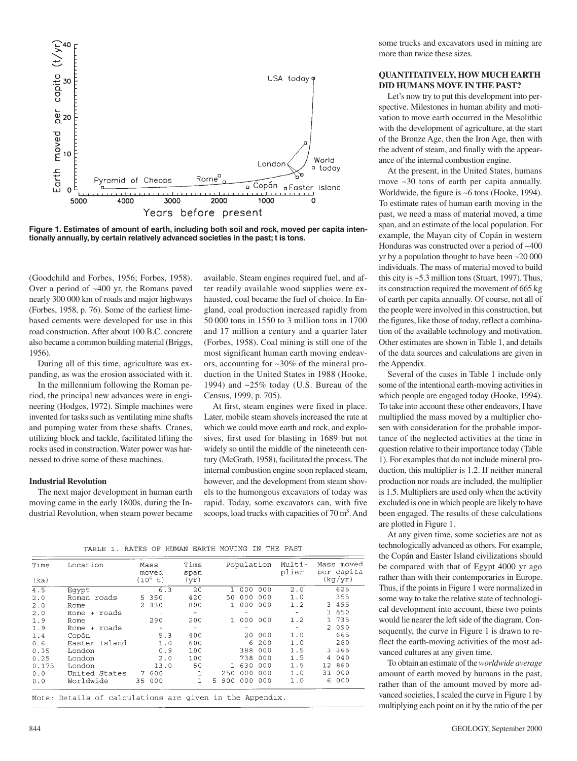

**Figure 1. Estimates of amount of earth, including both soil and rock, moved per capita intentionally annually, by certain relatively advanced societies in the past; t is tons.**

(Goodchild and Forbes, 1956; Forbes, 1958). Over a period of ~400 yr, the Romans paved nearly 300 000 km of roads and major highways (Forbes, 1958, p. 76). Some of the earliest limebased cements were developed for use in this road construction. After about 100 B.C. concrete also became a common building material (Briggs, 1956).

During all of this time, agriculture was expanding, as was the erosion associated with it.

In the millennium following the Roman period, the principal new advances were in engineering (Hodges, 1972). Simple machines were invented for tasks such as ventilating mine shafts and pumping water from these shafts. Cranes, utilizing block and tackle, facilitated lifting the rocks used in construction. Water power was harnessed to drive some of these machines.

## **Industrial Revolution**

The next major development in human earth moving came in the early 1800s, during the Industrial Revolution, when steam power became available. Steam engines required fuel, and after readily available wood supplies were exhausted, coal became the fuel of choice. In England, coal production increased rapidly from 50 000 tons in 1550 to 3 million tons in 1700 and 17 million a century and a quarter later (Forbes, 1958). Coal mining is still one of the most significant human earth moving endeavors, accounting for ~30% of the mineral production in the United States in 1988 (Hooke, 1994) and ~25% today (U.S. Bureau of the Census, 1999, p. 705).

At first, steam engines were fixed in place. Later, mobile steam shovels increased the rate at which we could move earth and rock, and explosives, first used for blasting in 1689 but not widely so until the middle of the nineteenth century (McGrath, 1958), facilitated the process. The internal combustion engine soon replaced steam, however, and the development from steam shovels to the humongous excavators of today was rapid. Today, some excavators can, with five scoops, load trucks with capacities of 70 m<sup>3</sup>. And

TABLE 1. RATES OF HUMAN EARTH MOVING IN THE PAST

| Time<br>(ka) | Location        | Mass<br>moved<br>$(10^6)$ t) |         | Time<br>span<br>(yr) | Population |              |     | Multi-<br>plier | Mass moved<br>per capita<br>(kq/yr) |    |     |
|--------------|-----------------|------------------------------|---------|----------------------|------------|--------------|-----|-----------------|-------------------------------------|----|-----|
| 4.5          | Eqypt           |                              | 6.3     | 20                   |            | $\mathbf{1}$ | 000 | 000             | 2.0                                 |    | 625 |
| 2.0          | Roman roads     |                              | 5 350   | 420                  |            | 50           | 000 | 000             | 1.0                                 |    | 355 |
| 2.0          | Rome            |                              | 2 3 3 0 | 800                  |            | 1.           | 000 | 000             | 1.2                                 | 3. | 495 |
| 2.0          | roads<br>Rome + |                              |         |                      |            |              |     |                 |                                     | 3. | 850 |
| 1.9          | Rome            |                              | 290     | 200                  |            | T.           | 000 | 000             | 1.2                                 | 1. | 735 |
| 1.9          | Rome $+$ roads  |                              |         |                      |            |              |     |                 |                                     | 2. | 090 |
| 1.4          | Copán           |                              | 5.3     | 400                  |            |              | 20  | 000             | 1.0                                 |    | 665 |
| 0.6          | Easter Island   |                              | 1.0     | 600                  |            |              | 6   | 200             | 1.0                                 |    | 260 |
| 0.35         | London          |                              | 0.9     | 100                  |            |              | 388 | 000             | 1.5                                 | 3. | 365 |
| 0.25         | London          |                              | 2.0     | 100                  |            |              | 738 | 000             | 1.5                                 | 4  | 040 |
| 0.175        | London          |                              | 13.0    | 50                   |            | 1.           | 630 | 000             | 1.5                                 | 12 | 860 |
| 0.0          | United States   | 7                            | 600     |                      |            | 250          | 000 | 000             | 1.0                                 | 31 | 000 |
| 0.0          | Worldwide       | 35 000                       |         | 1                    | 5          | 900          | 000 | 000             | 1.0                                 | 6. | 000 |

Note: Details of calculations are given in the Appendix.

some trucks and excavators used in mining are more than twice these sizes.

## **QUANTITATIVELY, HOW MUCH EARTH DID HUMANS MOVE IN THE PAST?**

Let's now try to put this development into perspective. Milestones in human ability and motivation to move earth occurred in the Mesolithic with the development of agriculture, at the start of the Bronze Age, then the Iron Age, then with the advent of steam, and finally with the appearance of the internal combustion engine.

At the present, in the United States, humans move ~30 tons of earth per capita annually. Worldwide, the figure is ~6 tons (Hooke, 1994). To estimate rates of human earth moving in the past, we need a mass of material moved, a time span, and an estimate of the local population. For example, the Mayan city of Copán in western Honduras was constructed over a period of ~400 yr by a population thought to have been ~20 000 individuals. The mass of material moved to build this city is ~5.3 million tons (Stuart, 1997). Thus, its construction required the movement of 665 kg of earth per capita annually. Of course, not all of the people were involved in this construction, but the figures, like those of today, reflect a combination of the available technology and motivation. Other estimates are shown in Table 1, and details of the data sources and calculations are given in the Appendix.

Several of the cases in Table 1 include only some of the intentional earth-moving activities in which people are engaged today (Hooke, 1994). To take into account these other endeavors, I have multiplied the mass moved by a multiplier chosen with consideration for the probable importance of the neglected activities at the time in question relative to their importance today (Table 1). For examples that do not include mineral production, this multiplier is 1.2. If neither mineral production nor roads are included, the multiplier is 1.5. Multipliers are used only when the activity excluded is one in which people are likely to have been engaged. The results of these calculations are plotted in Figure 1.

At any given time, some societies are not as technologically advanced as others. For example, the Copán and Easter Island civilizations should be compared with that of Egypt 4000 yr ago rather than with their contemporaries in Europe. Thus, if the points in Figure 1 were normalized in some way to take the relative state of technological development into account, these two points would lie nearer the left side of the diagram. Consequently, the curve in Figure 1 is drawn to reflect the earth-moving activities of the most advanced cultures at any given time.

To obtain an estimate of the *worldwide average* amount of earth moved by humans in the past, rather than of the amount moved by more advanced societies, I scaled the curve in Figure 1 by multiplying each point on it by the ratio of the per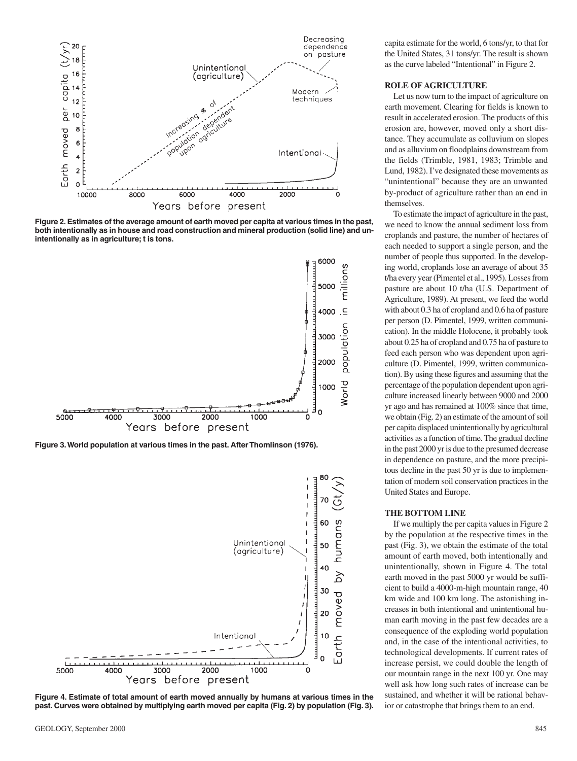

**Figure 2. Estimates of the average amount of earth moved per capita at various times in the past,** both intentionally as in house and road construction and mineral production (solid line) and un**intentionally as in agriculture; t is tons.**



**Figure 3.World population at various times in the past. After Thomlinson (1976).**



**Figure 4. Estimate of total amount of earth moved annually by humans at various times in the past. Curves were obtained by multiplying earth moved per capita (Fig. 2) by population (Fig. 3).**

capita estimate for the world, 6 tons/yr, to that for the United States, 31 tons/yr. The result is shown as the curve labeled "Intentional" in Figure 2.

#### **ROLE OF AGRICULTURE**

Let us now turn to the impact of agriculture on earth movement. Clearing for fields is known to result in accelerated erosion. The products of this erosion are, however, moved only a short distance. They accumulate as colluvium on slopes and as alluvium on floodplains downstream from the fields (Trimble, 1981, 1983; Trimble and Lund, 1982). I've designated these movements as "unintentional" because they are an unwanted by-product of agriculture rather than an end in themselves.

To estimate the impact of agriculture in the past, we need to know the annual sediment loss from croplands and pasture, the number of hectares of each needed to support a single person, and the number of people thus supported. In the developing world, croplands lose an average of about 35 t/ha every year (Pimentel et al., 1995). Losses from pasture are about 10 t/ha (U.S. Department of Agriculture, 1989). At present, we feed the world with about 0.3 ha of cropland and 0.6 ha of pasture per person (D. Pimentel, 1999, written communication). In the middle Holocene, it probably took about 0.25 ha of cropland and 0.75 ha of pasture to feed each person who was dependent upon agriculture (D. Pimentel, 1999, written communication). By using these figures and assuming that the percentage of the population dependent upon agriculture increased linearly between 9000 and 2000 yr ago and has remained at 100% since that time, we obtain (Fig. 2) an estimate of the amount of soil per capita displaced unintentionally by agricultural activities as a function of time. The gradual decline in the past 2000 yr is due to the presumed decrease in dependence on pasture, and the more precipitous decline in the past 50 yr is due to implementation of modern soil conservation practices in the United States and Europe.

#### **THE BOTTOM LINE**

If we multiply the per capita values in Figure 2 by the population at the respective times in the past (Fig. 3), we obtain the estimate of the total amount of earth moved, both intentionally and unintentionally, shown in Figure 4. The total earth moved in the past 5000 yr would be sufficient to build a 4000-m-high mountain range, 40 km wide and 100 km long. The astonishing increases in both intentional and unintentional human earth moving in the past few decades are a consequence of the exploding world population and, in the case of the intentional activities, to technological developments. If current rates of increase persist, we could double the length of our mountain range in the next 100 yr. One may well ask how long such rates of increase can be sustained, and whether it will be rational behavior or catastrophe that brings them to an end.